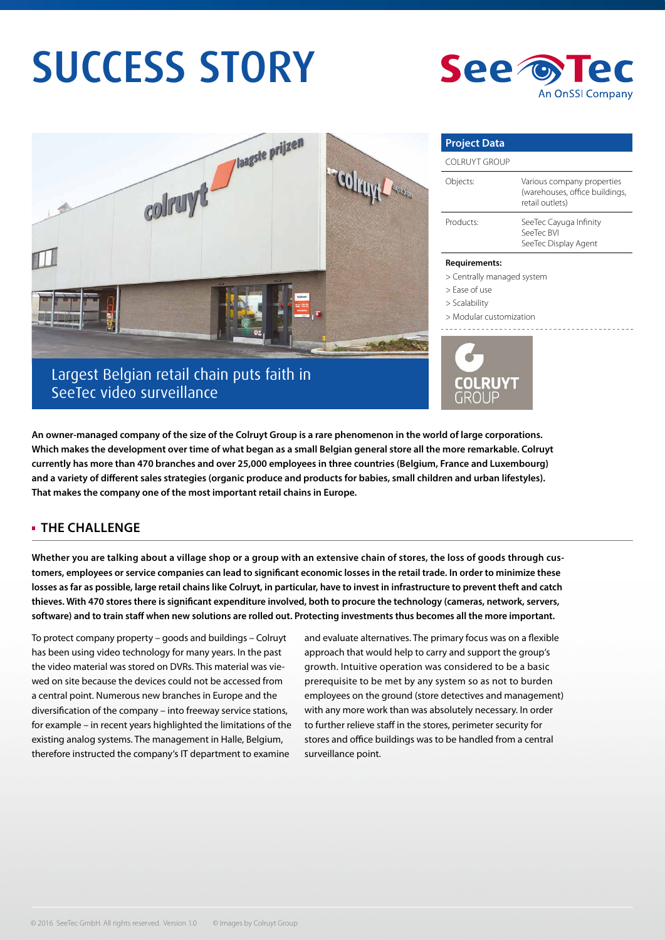# SUCCESS STORY





**An owner-managed company of the size of the Colruyt Group is a rare phenomenon in the world of large corporations. Which makes the development over time of what began as a small Belgian general store all the more remarkable. Colruyt currently has more than 470 branches and over 25,000 employees in three countries (Belgium, France and Luxembourg) and a variety of different sales strategies (organic produce and products for babies, small children and urban lifestyles). That makes the company one of the most important retail chains in Europe.** 

## **THE CHALLENGE**

**Whether you are talking about a village shop or a group with an extensive chain of stores, the loss of goods through customers, employees or service companies can lead to significant economic losses in the retail trade. In order to minimize these losses as far as possible, large retail chains like Colruyt, in particular, have to invest in infrastructure to prevent theft and catch thieves. With 470 stores there is significant expenditure involved, both to procure the technology (cameras, network, servers, software) and to train staff when new solutions are rolled out. Protecting investments thus becomes all the more important.**

To protect company property – goods and buildings – Colruyt has been using video technology for many years. In the past the video material was stored on DVRs. This material was viewed on site because the devices could not be accessed from a central point. Numerous new branches in Europe and the diversification of the company – into freeway service stations, for example – in recent years highlighted the limitations of the existing analog systems. The management in Halle, Belgium, therefore instructed the company's IT department to examine

and evaluate alternatives. The primary focus was on a flexible approach that would help to carry and support the group's growth. Intuitive operation was considered to be a basic prerequisite to be met by any system so as not to burden employees on the ground (store detectives and management) with any more work than was absolutely necessary. In order to further relieve staff in the stores, perimeter security for stores and office buildings was to be handled from a central surveillance point.